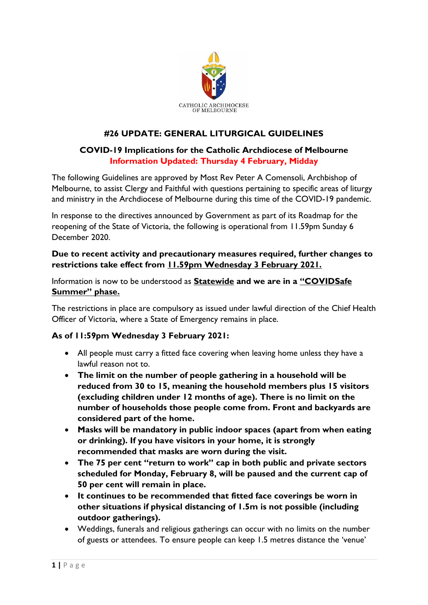

# **#26 UPDATE: GENERAL LITURGICAL GUIDELINES**

## **COVID-19 Implications for the Catholic Archdiocese of Melbourne Information Updated: Thursday 4 February, Midday**

The following Guidelines are approved by Most Rev Peter A Comensoli, Archbishop of Melbourne, to assist Clergy and Faithful with questions pertaining to specific areas of liturgy and ministry in the Archdiocese of Melbourne during this time of the COVID-19 pandemic.

In response to the directives announced by Government as part of its Roadmap for the reopening of the State of Victoria, the following is operational from 11.59pm Sunday 6 December 2020.

#### **Due to recent activity and precautionary measures required, further changes to restrictions take effect from 11.59pm Wednesday 3 February 2021.**

Information is now to be understood as **Statewide and we are in a "COVIDSafe Summer" phase.**

The restrictions in place are compulsory as issued under lawful direction of the Chief Health Officer of Victoria, where a State of Emergency remains in place.

### **As of 11:59pm Wednesday 3 February 2021:**

- All people must carry a fitted face covering when leaving home unless they have a lawful reason not to.
- **The limit on the number of people gathering in a household will be reduced from 30 to 15, meaning the household members plus 15 visitors (excluding children under 12 months of age). There is no limit on the number of households those people come from. Front and backyards are considered part of the home.**
- **Masks will be mandatory in public indoor spaces (apart from when eating or drinking). If you have visitors in your home, it is strongly recommended that masks are worn during the visit.**
- **The 75 per cent "return to work" cap in both public and private sectors scheduled for Monday, February 8, will be paused and the current cap of 50 per cent will remain in place.**
- **It continues to be recommended that fitted face coverings be worn in other situations if physical distancing of 1.5m is not possible (including outdoor gatherings).**
- Weddings, funerals and religious gatherings can occur with no limits on the number of guests or attendees. To ensure people can keep 1.5 metres distance the 'venue'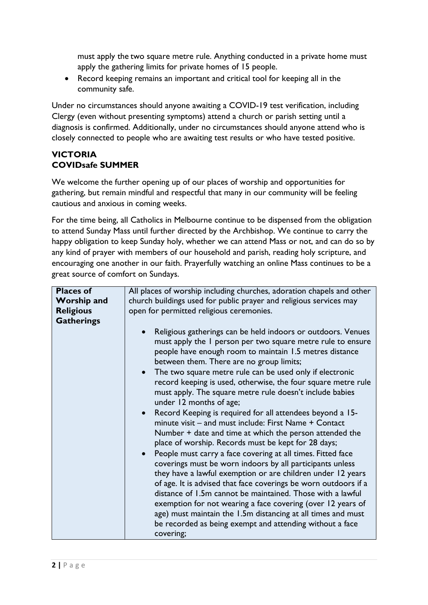must apply the two square metre rule. Anything conducted in a private home must apply the gathering limits for private homes of 15 people.

 Record keeping remains an important and critical tool for keeping all in the community safe.

Under no circumstances should anyone awaiting a COVID-19 test verification, including Clergy (even without presenting symptoms) attend a church or parish setting until a diagnosis is confirmed. Additionally, under no circumstances should anyone attend who is closely connected to people who are awaiting test results or who have tested positive.

## **VICTORIA COVIDsafe SUMMER**

We welcome the further opening up of our places of worship and opportunities for gathering, but remain mindful and respectful that many in our community will be feeling cautious and anxious in coming weeks.

For the time being, all Catholics in Melbourne continue to be dispensed from the obligation to attend Sunday Mass until further directed by the Archbishop. We continue to carry the happy obligation to keep Sunday holy, whether we can attend Mass or not, and can do so by any kind of prayer with members of our household and parish, reading holy scripture, and encouraging one another in our faith. Prayerfully watching an online Mass continues to be a great source of comfort on Sundays.

| <b>Places of</b>   | All places of worship including churches, adoration chapels and other                                                                                                                                                                                                                                                                                                                                                                                                                                                            |
|--------------------|----------------------------------------------------------------------------------------------------------------------------------------------------------------------------------------------------------------------------------------------------------------------------------------------------------------------------------------------------------------------------------------------------------------------------------------------------------------------------------------------------------------------------------|
| <b>Worship and</b> | church buildings used for public prayer and religious services may                                                                                                                                                                                                                                                                                                                                                                                                                                                               |
| <b>Religious</b>   | open for permitted religious ceremonies.                                                                                                                                                                                                                                                                                                                                                                                                                                                                                         |
| <b>Gatherings</b>  |                                                                                                                                                                                                                                                                                                                                                                                                                                                                                                                                  |
|                    | Religious gatherings can be held indoors or outdoors. Venues<br>must apply the I person per two square metre rule to ensure<br>people have enough room to maintain 1.5 metres distance<br>between them. There are no group limits;                                                                                                                                                                                                                                                                                               |
|                    | The two square metre rule can be used only if electronic<br>record keeping is used, otherwise, the four square metre rule<br>must apply. The square metre rule doesn't include babies<br>under 12 months of age;                                                                                                                                                                                                                                                                                                                 |
|                    | Record Keeping is required for all attendees beyond a 15-<br>minute visit – and must include: First Name + Contact<br>Number + date and time at which the person attended the<br>place of worship. Records must be kept for 28 days;                                                                                                                                                                                                                                                                                             |
|                    | People must carry a face covering at all times. Fitted face<br>coverings must be worn indoors by all participants unless<br>they have a lawful exemption or are children under 12 years<br>of age. It is advised that face coverings be worn outdoors if a<br>distance of 1.5m cannot be maintained. Those with a lawful<br>exemption for not wearing a face covering (over 12 years of<br>age) must maintain the 1.5m distancing at all times and must<br>be recorded as being exempt and attending without a face<br>covering; |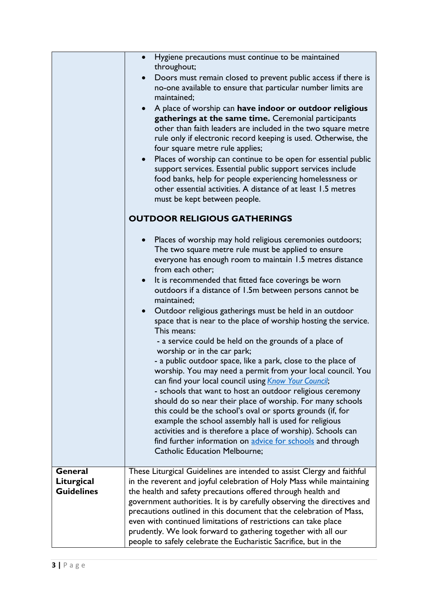|                   | Hygiene precautions must continue to be maintained                                                                                           |
|-------------------|----------------------------------------------------------------------------------------------------------------------------------------------|
|                   | throughout;                                                                                                                                  |
|                   | Doors must remain closed to prevent public access if there is<br>no-one available to ensure that particular number limits are<br>maintained; |
|                   | A place of worship can have indoor or outdoor religious                                                                                      |
|                   | gatherings at the same time. Ceremonial participants                                                                                         |
|                   | other than faith leaders are included in the two square metre                                                                                |
|                   | rule only if electronic record keeping is used. Otherwise, the                                                                               |
|                   | four square metre rule applies;                                                                                                              |
|                   | Places of worship can continue to be open for essential public<br>support services. Essential public support services include                |
|                   | food banks, help for people experiencing homelessness or                                                                                     |
|                   | other essential activities. A distance of at least 1.5 metres                                                                                |
|                   | must be kept between people.                                                                                                                 |
|                   | <b>OUTDOOR RELIGIOUS GATHERINGS</b>                                                                                                          |
|                   | Places of worship may hold religious ceremonies outdoors;<br>$\bullet$                                                                       |
|                   | The two square metre rule must be applied to ensure                                                                                          |
|                   | everyone has enough room to maintain 1.5 metres distance                                                                                     |
|                   | from each other;                                                                                                                             |
|                   | It is recommended that fitted face coverings be worn                                                                                         |
|                   | outdoors if a distance of 1.5m between persons cannot be<br>maintained;                                                                      |
|                   | Outdoor religious gatherings must be held in an outdoor                                                                                      |
|                   | space that is near to the place of worship hosting the service.                                                                              |
|                   | This means:<br>- a service could be held on the grounds of a place of                                                                        |
|                   | worship or in the car park;                                                                                                                  |
|                   | - a public outdoor space, like a park, close to the place of                                                                                 |
|                   | worship. You may need a permit from your local council. You                                                                                  |
|                   | can find your local council using <i>Know Your Council</i> ;                                                                                 |
|                   | - schools that want to host an outdoor religious ceremony<br>should do so near their place of worship. For many schools                      |
|                   | this could be the school's oval or sports grounds (if, for                                                                                   |
|                   | example the school assembly hall is used for religious                                                                                       |
|                   | activities and is therefore a place of worship). Schools can                                                                                 |
|                   | find further information on advice for schools and through                                                                                   |
|                   | <b>Catholic Education Melbourne;</b>                                                                                                         |
| General           | These Liturgical Guidelines are intended to assist Clergy and faithful                                                                       |
| Liturgical        | in the reverent and joyful celebration of Holy Mass while maintaining                                                                        |
| <b>Guidelines</b> | the health and safety precautions offered through health and                                                                                 |
|                   | government authorities. It is by carefully observing the directives and                                                                      |
|                   | precautions outlined in this document that the celebration of Mass,                                                                          |
|                   | even with continued limitations of restrictions can take place<br>prudently. We look forward to gathering together with all our              |
|                   | people to safely celebrate the Eucharistic Sacrifice, but in the                                                                             |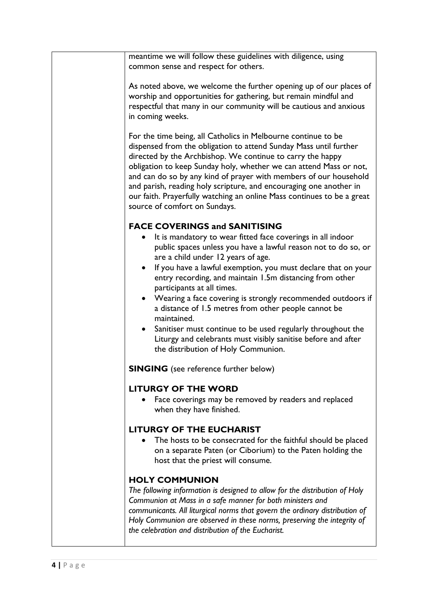| meantime we will follow these guidelines with diligence, using<br>common sense and respect for others.                                                                                                                                                                                                                                                                                                                                                                                                                       |
|------------------------------------------------------------------------------------------------------------------------------------------------------------------------------------------------------------------------------------------------------------------------------------------------------------------------------------------------------------------------------------------------------------------------------------------------------------------------------------------------------------------------------|
| As noted above, we welcome the further opening up of our places of<br>worship and opportunities for gathering, but remain mindful and<br>respectful that many in our community will be cautious and anxious<br>in coming weeks.                                                                                                                                                                                                                                                                                              |
| For the time being, all Catholics in Melbourne continue to be<br>dispensed from the obligation to attend Sunday Mass until further<br>directed by the Archbishop. We continue to carry the happy<br>obligation to keep Sunday holy, whether we can attend Mass or not,<br>and can do so by any kind of prayer with members of our household<br>and parish, reading holy scripture, and encouraging one another in<br>our faith. Prayerfully watching an online Mass continues to be a great<br>source of comfort on Sundays. |
|                                                                                                                                                                                                                                                                                                                                                                                                                                                                                                                              |
| <b>FACE COVERINGS and SANITISING</b><br>It is mandatory to wear fitted face coverings in all indoor<br>public spaces unless you have a lawful reason not to do so, or<br>are a child under 12 years of age.                                                                                                                                                                                                                                                                                                                  |
| If you have a lawful exemption, you must declare that on your<br>$\bullet$<br>entry recording, and maintain 1.5m distancing from other<br>participants at all times.                                                                                                                                                                                                                                                                                                                                                         |
| Wearing a face covering is strongly recommended outdoors if<br>$\bullet$<br>a distance of 1.5 metres from other people cannot be<br>maintained.                                                                                                                                                                                                                                                                                                                                                                              |
| Sanitiser must continue to be used regularly throughout the<br>Liturgy and celebrants must visibly sanitise before and after<br>the distribution of Holy Communion.                                                                                                                                                                                                                                                                                                                                                          |
| <b>SINGING</b> (see reference further below)                                                                                                                                                                                                                                                                                                                                                                                                                                                                                 |
| <b>LITURGY OF THE WORD</b><br>Face coverings may be removed by readers and replaced<br>when they have finished.                                                                                                                                                                                                                                                                                                                                                                                                              |
| <b>LITURGY OF THE EUCHARIST</b><br>The hosts to be consecrated for the faithful should be placed<br>on a separate Paten (or Ciborium) to the Paten holding the<br>host that the priest will consume.                                                                                                                                                                                                                                                                                                                         |
| <b>HOLY COMMUNION</b><br>The following information is designed to allow for the distribution of Holy<br>Communion at Mass in a safe manner for both ministers and<br>communicants. All liturgical norms that govern the ordinary distribution of<br>Holy Communion are observed in these norms, preserving the integrity of<br>the celebration and distribution of the Eucharist.                                                                                                                                            |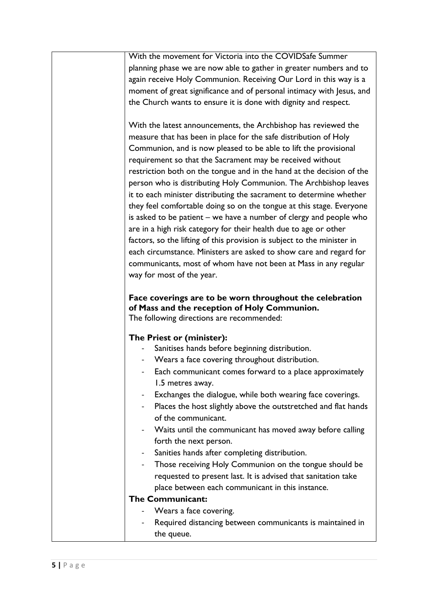| With the movement for Victoria into the COVIDSafe Summer                                  |
|-------------------------------------------------------------------------------------------|
| planning phase we are now able to gather in greater numbers and to                        |
| again receive Holy Communion. Receiving Our Lord in this way is a                         |
| moment of great significance and of personal intimacy with Jesus, and                     |
| the Church wants to ensure it is done with dignity and respect.                           |
|                                                                                           |
| With the latest announcements, the Archbishop has reviewed the                            |
| measure that has been in place for the safe distribution of Holy                          |
| Communion, and is now pleased to be able to lift the provisional                          |
| requirement so that the Sacrament may be received without                                 |
| restriction both on the tongue and in the hand at the decision of the                     |
| person who is distributing Holy Communion. The Archbishop leaves                          |
| it to each minister distributing the sacrament to determine whether                       |
| they feel comfortable doing so on the tongue at this stage. Everyone                      |
| is asked to be patient – we have a number of clergy and people who                        |
| are in a high risk category for their health due to age or other                          |
| factors, so the lifting of this provision is subject to the minister in                   |
| each circumstance. Ministers are asked to show care and regard for                        |
| communicants, most of whom have not been at Mass in any regular                           |
| way for most of the year.                                                                 |
|                                                                                           |
| Face coverings are to be worn throughout the celebration                                  |
| of Mass and the reception of Holy Communion.<br>The following directions are recommended: |
|                                                                                           |
| The Priest or (minister):                                                                 |
| Sanitises hands before beginning distribution.                                            |
| Wears a face covering throughout distribution.                                            |
| Each communicant comes forward to a place approximately                                   |
| 1.5 metres away.                                                                          |
| Exchanges the dialogue, while both wearing face coverings.                                |
| Places the host slightly above the outstretched and flat hands                            |
| of the communicant.                                                                       |
| Waits until the communicant has moved away before calling                                 |
| forth the next person.                                                                    |
| Sanities hands after completing distribution.                                             |
| Those receiving Holy Communion on the tongue should be                                    |
| requested to present last. It is advised that sanitation take                             |
| place between each communicant in this instance.                                          |
| The Communicant:                                                                          |
| Wears a face covering.                                                                    |
| Required distancing between communicants is maintained in                                 |
| the queue.                                                                                |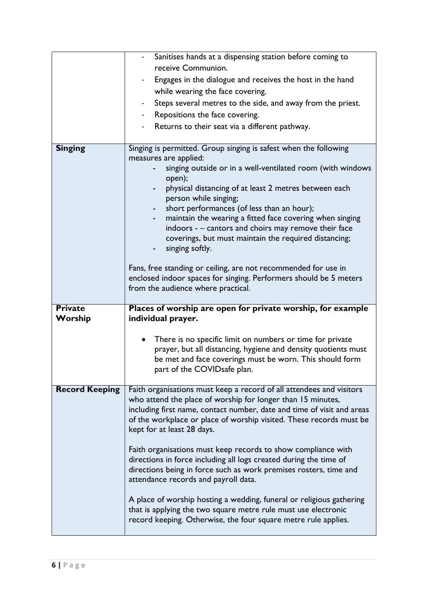|                       | Sanitises hands at a dispensing station before coming to                                                                         |
|-----------------------|----------------------------------------------------------------------------------------------------------------------------------|
|                       | receive Communion.                                                                                                               |
|                       | Engages in the dialogue and receives the host in the hand                                                                        |
|                       | while wearing the face covering.                                                                                                 |
|                       | Steps several metres to the side, and away from the priest.<br>$\qquad \qquad \blacksquare$                                      |
|                       | Repositions the face covering.                                                                                                   |
|                       | Returns to their seat via a different pathway.                                                                                   |
|                       |                                                                                                                                  |
| <b>Singing</b>        | Singing is permitted. Group singing is safest when the following                                                                 |
|                       | measures are applied:                                                                                                            |
|                       | singing outside or in a well-ventilated room (with windows                                                                       |
|                       | open);<br>physical distancing of at least 2 metres between each                                                                  |
|                       | person while singing;                                                                                                            |
|                       | short performances (of less than an hour);                                                                                       |
|                       | maintain the wearing a fitted face covering when singing<br>۰.                                                                   |
|                       | indoors - - cantors and choirs may remove their face                                                                             |
|                       | coverings, but must maintain the required distancing;                                                                            |
|                       | singing softly.                                                                                                                  |
|                       | Fans, free standing or ceiling, are not recommended for use in                                                                   |
|                       | enclosed indoor spaces for singing. Performers should be 5 meters                                                                |
|                       | from the audience where practical.                                                                                               |
|                       |                                                                                                                                  |
|                       |                                                                                                                                  |
| <b>Private</b>        | Places of worship are open for private worship, for example                                                                      |
| Worship               | individual prayer.                                                                                                               |
|                       |                                                                                                                                  |
|                       | There is no specific limit on numbers or time for private<br>$\bullet$                                                           |
|                       | prayer, but all distancing, hygiene and density quotients must                                                                   |
|                       | be met and face coverings must be worn. This should form<br>part of the COVIDsafe plan.                                          |
|                       |                                                                                                                                  |
| <b>Record Keeping</b> | Faith organisations must keep a record of all attendees and visitors                                                             |
|                       | who attend the place of worship for longer than 15 minutes,                                                                      |
|                       | including first name, contact number, date and time of visit and areas                                                           |
|                       | of the workplace or place of worship visited. These records must be                                                              |
|                       | kept for at least 28 days.                                                                                                       |
|                       | Faith organisations must keep records to show compliance with                                                                    |
|                       | directions in force including all logs created during the time of                                                                |
|                       | directions being in force such as work premises rosters, time and                                                                |
|                       | attendance records and payroll data.                                                                                             |
|                       |                                                                                                                                  |
|                       | A place of worship hosting a wedding, funeral or religious gathering                                                             |
|                       | that is applying the two square metre rule must use electronic<br>record keeping. Otherwise, the four square metre rule applies. |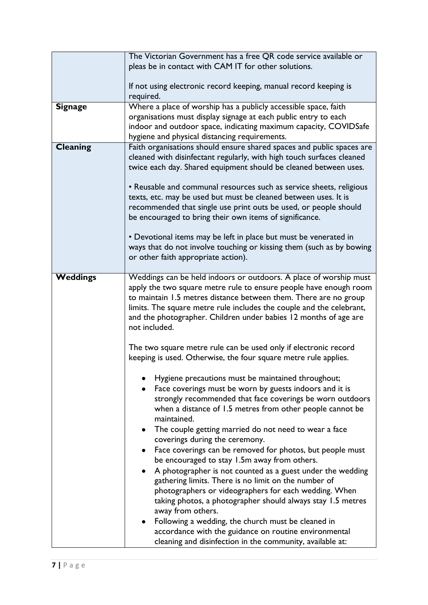|                 | The Victorian Government has a free QR code service available or        |
|-----------------|-------------------------------------------------------------------------|
|                 | pleas be in contact with CAM IT for other solutions.                    |
|                 |                                                                         |
|                 | If not using electronic record keeping, manual record keeping is        |
|                 | required.                                                               |
|                 |                                                                         |
| <b>Signage</b>  | Where a place of worship has a publicly accessible space, faith         |
|                 | organisations must display signage at each public entry to each         |
|                 | indoor and outdoor space, indicating maximum capacity, COVIDSafe        |
|                 | hygiene and physical distancing requirements.                           |
| <b>Cleaning</b> | Faith organisations should ensure shared spaces and public spaces are   |
|                 | cleaned with disinfectant regularly, with high touch surfaces cleaned   |
|                 | twice each day. Shared equipment should be cleaned between uses.        |
|                 |                                                                         |
|                 | • Reusable and communal resources such as service sheets, religious     |
|                 | texts, etc. may be used but must be cleaned between uses. It is         |
|                 | recommended that single use print outs be used, or people should        |
|                 |                                                                         |
|                 | be encouraged to bring their own items of significance.                 |
|                 |                                                                         |
|                 | • Devotional items may be left in place but must be venerated in        |
|                 | ways that do not involve touching or kissing them (such as by bowing    |
|                 | or other faith appropriate action).                                     |
|                 |                                                                         |
| <b>Weddings</b> | Weddings can be held indoors or outdoors. A place of worship must       |
|                 | apply the two square metre rule to ensure people have enough room       |
|                 | to maintain 1.5 metres distance between them. There are no group        |
|                 | limits. The square metre rule includes the couple and the celebrant,    |
|                 | and the photographer. Children under babies 12 months of age are        |
|                 | not included.                                                           |
|                 |                                                                         |
|                 | The two square metre rule can be used only if electronic record         |
|                 | keeping is used. Otherwise, the four square metre rule applies.         |
|                 |                                                                         |
|                 |                                                                         |
|                 | Hygiene precautions must be maintained throughout;                      |
|                 | Face coverings must be worn by guests indoors and it is                 |
|                 | strongly recommended that face coverings be worn outdoors               |
|                 | when a distance of 1.5 metres from other people cannot be               |
|                 | maintained.                                                             |
|                 | The couple getting married do not need to wear a face                   |
|                 | coverings during the ceremony.                                          |
|                 | Face coverings can be removed for photos, but people must               |
|                 | be encouraged to stay 1.5m away from others.                            |
|                 | A photographer is not counted as a guest under the wedding<br>$\bullet$ |
|                 | gathering limits. There is no limit on the number of                    |
|                 |                                                                         |
|                 | photographers or videographers for each wedding. When                   |
|                 | taking photos, a photographer should always stay 1.5 metres             |
|                 | away from others.                                                       |
|                 | Following a wedding, the church must be cleaned in<br>$\bullet$         |
|                 | accordance with the guidance on routine environmental                   |
|                 | cleaning and disinfection in the community, available at:               |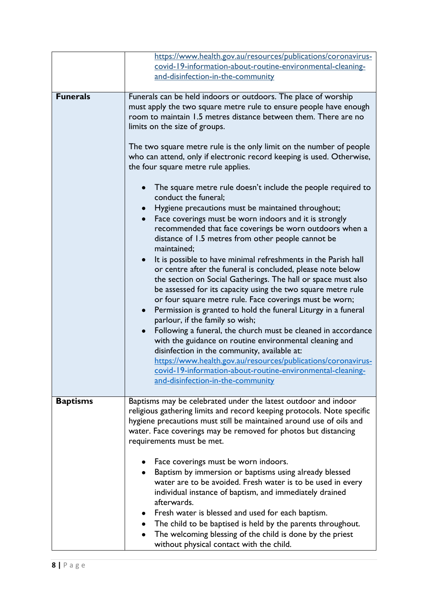|                 | https://www.health.gov.au/resources/publications/coronavirus-                                                  |
|-----------------|----------------------------------------------------------------------------------------------------------------|
|                 | covid-19-information-about-routine-environmental-cleaning-                                                     |
|                 | and-disinfection-in-the-community                                                                              |
|                 |                                                                                                                |
| <b>Funerals</b> | Funerals can be held indoors or outdoors. The place of worship                                                 |
|                 | must apply the two square metre rule to ensure people have enough                                              |
|                 | room to maintain 1.5 metres distance between them. There are no                                                |
|                 | limits on the size of groups.                                                                                  |
|                 |                                                                                                                |
|                 | The two square metre rule is the only limit on the number of people                                            |
|                 | who can attend, only if electronic record keeping is used. Otherwise,<br>the four square metre rule applies.   |
|                 |                                                                                                                |
|                 | The square metre rule doesn't include the people required to                                                   |
|                 | conduct the funeral;                                                                                           |
|                 | Hygiene precautions must be maintained throughout;<br>٠                                                        |
|                 | Face coverings must be worn indoors and it is strongly                                                         |
|                 | recommended that face coverings be worn outdoors when a                                                        |
|                 | distance of 1.5 metres from other people cannot be                                                             |
|                 | maintained;                                                                                                    |
|                 | It is possible to have minimal refreshments in the Parish hall                                                 |
|                 | or centre after the funeral is concluded, please note below                                                    |
|                 | the section on Social Gatherings. The hall or space must also                                                  |
|                 | be assessed for its capacity using the two square metre rule                                                   |
|                 | or four square metre rule. Face coverings must be worn;                                                        |
|                 | Permission is granted to hold the funeral Liturgy in a funeral<br>$\bullet$<br>parlour, if the family so wish; |
|                 | Following a funeral, the church must be cleaned in accordance                                                  |
|                 | with the guidance on routine environmental cleaning and                                                        |
|                 | disinfection in the community, available at:                                                                   |
|                 | https://www.health.gov.au/resources/publications/coronavirus-                                                  |
|                 | covid-19-information-about-routine-environmental-cleaning-                                                     |
|                 | and-disinfection-in-the-community                                                                              |
|                 |                                                                                                                |
| <b>Baptisms</b> | Baptisms may be celebrated under the latest outdoor and indoor                                                 |
|                 | religious gathering limits and record keeping protocols. Note specific                                         |
|                 | hygiene precautions must still be maintained around use of oils and                                            |
|                 | water. Face coverings may be removed for photos but distancing                                                 |
|                 | requirements must be met.                                                                                      |
|                 | Face coverings must be worn indoors.                                                                           |
|                 | Baptism by immersion or baptisms using already blessed                                                         |
|                 | water are to be avoided. Fresh water is to be used in every                                                    |
|                 | individual instance of baptism, and immediately drained                                                        |
|                 | afterwards.                                                                                                    |
|                 | Fresh water is blessed and used for each baptism.                                                              |
|                 | The child to be baptised is held by the parents throughout.<br>$\bullet$                                       |
|                 | The welcoming blessing of the child is done by the priest                                                      |
|                 | without physical contact with the child.                                                                       |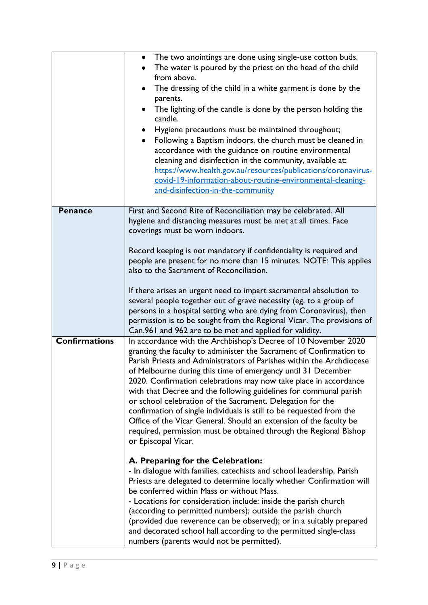|                      | The two anointings are done using single-use cotton buds.<br>$\bullet$<br>The water is poured by the priest on the head of the child<br>from above.<br>The dressing of the child in a white garment is done by the<br>$\bullet$<br>parents.<br>The lighting of the candle is done by the person holding the<br>candle.<br>Hygiene precautions must be maintained throughout;<br>٠<br>Following a Baptism indoors, the church must be cleaned in<br>$\bullet$<br>accordance with the guidance on routine environmental<br>cleaning and disinfection in the community, available at:<br>https://www.health.gov.au/resources/publications/coronavirus-<br>covid-19-information-about-routine-environmental-cleaning-<br>and-disinfection-in-the-community                                                                                                                                                                                                                                                                                                                                                                                                                                                                                                                                       |
|----------------------|----------------------------------------------------------------------------------------------------------------------------------------------------------------------------------------------------------------------------------------------------------------------------------------------------------------------------------------------------------------------------------------------------------------------------------------------------------------------------------------------------------------------------------------------------------------------------------------------------------------------------------------------------------------------------------------------------------------------------------------------------------------------------------------------------------------------------------------------------------------------------------------------------------------------------------------------------------------------------------------------------------------------------------------------------------------------------------------------------------------------------------------------------------------------------------------------------------------------------------------------------------------------------------------------|
| <b>Penance</b>       | First and Second Rite of Reconciliation may be celebrated. All<br>hygiene and distancing measures must be met at all times. Face<br>coverings must be worn indoors.<br>Record keeping is not mandatory if confidentiality is required and<br>people are present for no more than 15 minutes. NOTE: This applies<br>also to the Sacrament of Reconciliation.<br>If there arises an urgent need to impart sacramental absolution to<br>several people together out of grave necessity (eg. to a group of<br>persons in a hospital setting who are dying from Coronavirus), then<br>permission is to be sought from the Regional Vicar. The provisions of<br>Can.961 and 962 are to be met and applied for validity.                                                                                                                                                                                                                                                                                                                                                                                                                                                                                                                                                                            |
| <b>Confirmations</b> | In accordance with the Archbishop's Decree of 10 November 2020<br>granting the faculty to administer the Sacrament of Confirmation to<br>Parish Priests and Administrators of Parishes within the Archdiocese<br>of Melbourne during this time of emergency until 31 December<br>2020. Confirmation celebrations may now take place in accordance<br>with that Decree and the following guidelines for communal parish<br>or school celebration of the Sacrament. Delegation for the<br>confirmation of single individuals is still to be requested from the<br>Office of the Vicar General. Should an extension of the faculty be<br>required, permission must be obtained through the Regional Bishop<br>or Episcopal Vicar.<br>A. Preparing for the Celebration:<br>- In dialogue with families, catechists and school leadership, Parish<br>Priests are delegated to determine locally whether Confirmation will<br>be conferred within Mass or without Mass.<br>- Locations for consideration include: inside the parish church<br>(according to permitted numbers); outside the parish church<br>(provided due reverence can be observed); or in a suitably prepared<br>and decorated school hall according to the permitted single-class<br>numbers (parents would not be permitted). |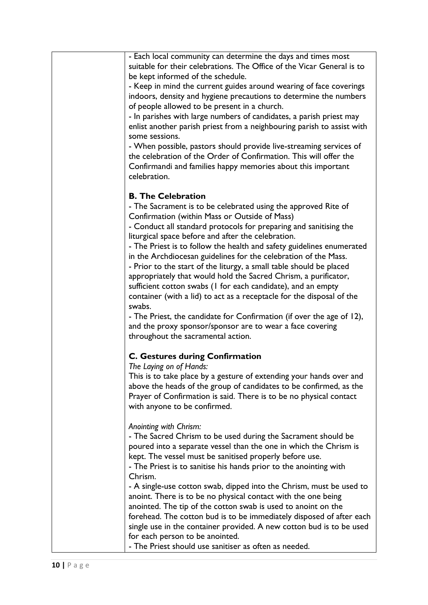| - Each local community can determine the days and times most           |
|------------------------------------------------------------------------|
| suitable for their celebrations. The Office of the Vicar General is to |
| be kept informed of the schedule.                                      |
| - Keep in mind the current guides around wearing of face coverings     |
|                                                                        |
| indoors, density and hygiene precautions to determine the numbers      |
| of people allowed to be present in a church.                           |
| - In parishes with large numbers of candidates, a parish priest may    |
| enlist another parish priest from a neighbouring parish to assist with |
| some sessions.                                                         |
| - When possible, pastors should provide live-streaming services of     |
| the celebration of the Order of Confirmation. This will offer the      |
|                                                                        |
| Confirmandi and families happy memories about this important           |
| celebration.                                                           |
|                                                                        |
| <b>B. The Celebration</b>                                              |
| - The Sacrament is to be celebrated using the approved Rite of         |
| Confirmation (within Mass or Outside of Mass)                          |
| - Conduct all standard protocols for preparing and sanitising the      |
| liturgical space before and after the celebration.                     |
|                                                                        |
| - The Priest is to follow the health and safety guidelines enumerated  |
| in the Archdiocesan guidelines for the celebration of the Mass.        |
| - Prior to the start of the liturgy, a small table should be placed    |
| appropriately that would hold the Sacred Chrism, a purificator,        |
| sufficient cotton swabs (I for each candidate), and an empty           |
| container (with a lid) to act as a receptacle for the disposal of the  |
| swabs.                                                                 |
| - The Priest, the candidate for Confirmation (if over the age of 12),  |
| and the proxy sponsor/sponsor are to wear a face covering              |
|                                                                        |
| throughout the sacramental action.                                     |
|                                                                        |
| <b>C. Gestures during Confirmation</b>                                 |
| The Laying on of Hands:                                                |
| This is to take place by a gesture of extending your hands over and    |
| above the heads of the group of candidates to be confirmed, as the     |
| Prayer of Confirmation is said. There is to be no physical contact     |
| with anyone to be confirmed.                                           |
|                                                                        |
| Anointing with Chrism:                                                 |
| - The Sacred Chrism to be used during the Sacrament should be          |
| poured into a separate vessel than the one in which the Chrism is      |
|                                                                        |
| kept. The vessel must be sanitised properly before use.                |
| - The Priest is to sanitise his hands prior to the anointing with      |
| Chrism.                                                                |
| - A single-use cotton swab, dipped into the Chrism, must be used to    |
| anoint. There is to be no physical contact with the one being          |
| anointed. The tip of the cotton swab is used to anoint on the          |
| forehead. The cotton bud is to be immediately disposed of after each   |
| single use in the container provided. A new cotton bud is to be used   |
|                                                                        |
| for each person to be anointed.                                        |
| - The Priest should use sanitiser as often as needed.                  |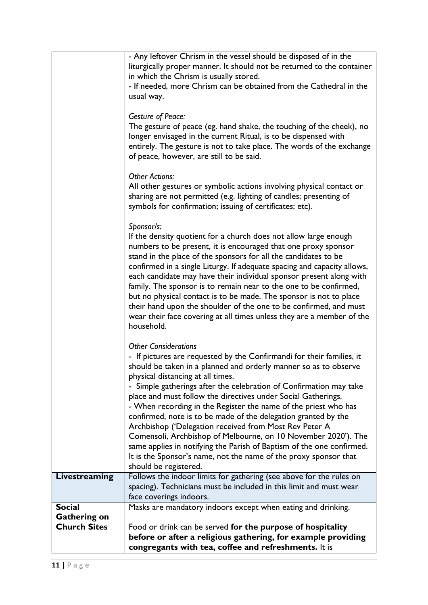|                     | - Any leftover Chrism in the vessel should be disposed of in the        |
|---------------------|-------------------------------------------------------------------------|
|                     | liturgically proper manner. It should not be returned to the container  |
|                     | in which the Chrism is usually stored.                                  |
|                     | - If needed, more Chrism can be obtained from the Cathedral in the      |
|                     | usual way.                                                              |
|                     |                                                                         |
|                     | <b>Gesture of Peace:</b>                                                |
|                     | The gesture of peace (eg. hand shake, the touching of the cheek), no    |
|                     | longer envisaged in the current Ritual, is to be dispensed with         |
|                     | entirely. The gesture is not to take place. The words of the exchange   |
|                     | of peace, however, are still to be said.                                |
|                     |                                                                         |
|                     | <b>Other Actions:</b>                                                   |
|                     | All other gestures or symbolic actions involving physical contact or    |
|                     | sharing are not permitted (e.g. lighting of candles; presenting of      |
|                     | symbols for confirmation; issuing of certificates; etc).                |
|                     |                                                                         |
|                     | Sponsor/s:                                                              |
|                     | If the density quotient for a church does not allow large enough        |
|                     | numbers to be present, it is encouraged that one proxy sponsor          |
|                     | stand in the place of the sponsors for all the candidates to be         |
|                     | confirmed in a single Liturgy. If adequate spacing and capacity allows, |
|                     | each candidate may have their individual sponsor present along with     |
|                     | family. The sponsor is to remain near to the one to be confirmed,       |
|                     | but no physical contact is to be made. The sponsor is not to place      |
|                     | their hand upon the shoulder of the one to be confirmed, and must       |
|                     | wear their face covering at all times unless they are a member of the   |
|                     | household.                                                              |
|                     | <b>Other Considerations</b>                                             |
|                     | - If pictures are requested by the Confirmandi for their families, it   |
|                     | should be taken in a planned and orderly manner so as to observe        |
|                     | physical distancing at all times.                                       |
|                     | - Simple gatherings after the celebration of Confirmation may take      |
|                     | place and must follow the directives under Social Gatherings.           |
|                     | - When recording in the Register the name of the priest who has         |
|                     | confirmed, note is to be made of the delegation granted by the          |
|                     | Archbishop ('Delegation received from Most Rev Peter A                  |
|                     | Comensoli, Archbishop of Melbourne, on 10 November 2020'). The          |
|                     | same applies in notifying the Parish of Baptism of the one confirmed.   |
|                     | It is the Sponsor's name, not the name of the proxy sponsor that        |
|                     | should be registered.                                                   |
| Livestreaming       | Follows the indoor limits for gathering (see above for the rules on     |
|                     | spacing). Technicians must be included in this limit and must wear      |
| <b>Social</b>       | face coverings indoors.                                                 |
| <b>Gathering on</b> | Masks are mandatory indoors except when eating and drinking.            |
| <b>Church Sites</b> | Food or drink can be served for the purpose of hospitality              |
|                     | before or after a religious gathering, for example providing            |
|                     | congregants with tea, coffee and refreshments. It is                    |
|                     |                                                                         |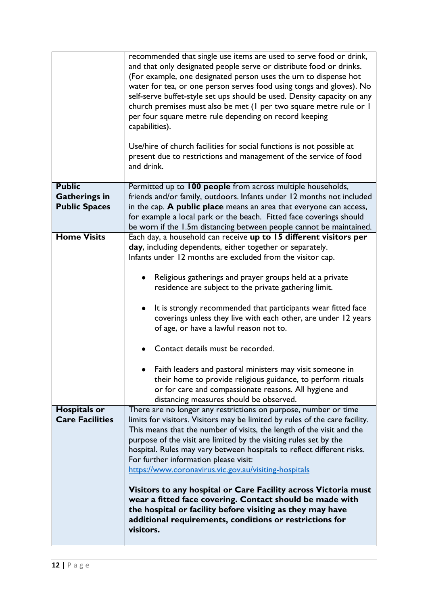|                                               | recommended that single use items are used to serve food or drink,<br>and that only designated people serve or distribute food or drinks.<br>(For example, one designated person uses the urn to dispense hot<br>water for tea, or one person serves food using tongs and gloves). No<br>self-serve buffet-style set ups should be used. Density capacity on any<br>church premises must also be met (I per two square metre rule or I<br>per four square metre rule depending on record keeping<br>capabilities).<br>Use/hire of church facilities for social functions is not possible at<br>present due to restrictions and management of the service of food<br>and drink. |
|-----------------------------------------------|--------------------------------------------------------------------------------------------------------------------------------------------------------------------------------------------------------------------------------------------------------------------------------------------------------------------------------------------------------------------------------------------------------------------------------------------------------------------------------------------------------------------------------------------------------------------------------------------------------------------------------------------------------------------------------|
| <b>Public</b><br><b>Gatherings in</b>         | Permitted up to 100 people from across multiple households,<br>friends and/or family, outdoors. Infants under 12 months not included                                                                                                                                                                                                                                                                                                                                                                                                                                                                                                                                           |
| <b>Public Spaces</b>                          | in the cap. A public place means an area that everyone can access,<br>for example a local park or the beach. Fitted face coverings should<br>be worn if the 1.5m distancing between people cannot be maintained.                                                                                                                                                                                                                                                                                                                                                                                                                                                               |
| <b>Home Visits</b>                            | Each day, a household can receive up to 15 different visitors per                                                                                                                                                                                                                                                                                                                                                                                                                                                                                                                                                                                                              |
|                                               | day, including dependents, either together or separately.<br>Infants under 12 months are excluded from the visitor cap.                                                                                                                                                                                                                                                                                                                                                                                                                                                                                                                                                        |
|                                               | Religious gatherings and prayer groups held at a private<br>residence are subject to the private gathering limit.                                                                                                                                                                                                                                                                                                                                                                                                                                                                                                                                                              |
|                                               | It is strongly recommended that participants wear fitted face<br>coverings unless they live with each other, are under 12 years<br>of age, or have a lawful reason not to.                                                                                                                                                                                                                                                                                                                                                                                                                                                                                                     |
|                                               | Contact details must be recorded.                                                                                                                                                                                                                                                                                                                                                                                                                                                                                                                                                                                                                                              |
|                                               | Faith leaders and pastoral ministers may visit someone in<br>their home to provide religious guidance, to perform rituals<br>or for care and compassionate reasons. All hygiene and<br>distancing measures should be observed.                                                                                                                                                                                                                                                                                                                                                                                                                                                 |
| <b>Hospitals or</b><br><b>Care Facilities</b> | There are no longer any restrictions on purpose, number or time<br>limits for visitors. Visitors may be limited by rules of the care facility.                                                                                                                                                                                                                                                                                                                                                                                                                                                                                                                                 |
|                                               | This means that the number of visits, the length of the visit and the                                                                                                                                                                                                                                                                                                                                                                                                                                                                                                                                                                                                          |
|                                               | purpose of the visit are limited by the visiting rules set by the                                                                                                                                                                                                                                                                                                                                                                                                                                                                                                                                                                                                              |
|                                               | hospital. Rules may vary between hospitals to reflect different risks.<br>For further information please visit:                                                                                                                                                                                                                                                                                                                                                                                                                                                                                                                                                                |
|                                               | https://www.coronavirus.vic.gov.au/visiting-hospitals                                                                                                                                                                                                                                                                                                                                                                                                                                                                                                                                                                                                                          |
|                                               | Visitors to any hospital or Care Facility across Victoria must<br>wear a fitted face covering. Contact should be made with<br>the hospital or facility before visiting as they may have<br>additional requirements, conditions or restrictions for<br>visitors.                                                                                                                                                                                                                                                                                                                                                                                                                |